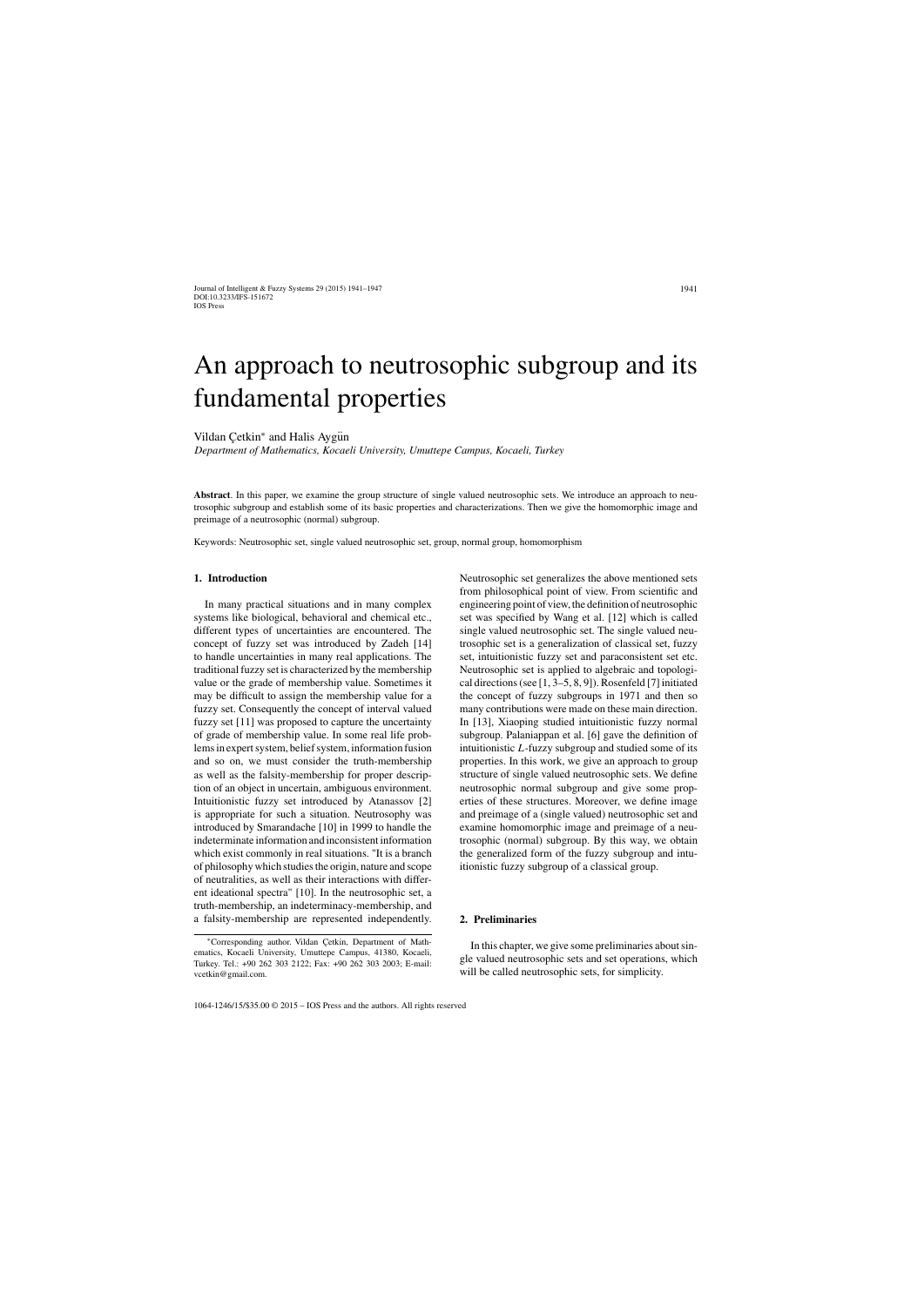Journal of Intelligent & Fuzzy Systems 29 (2015) 1941–1947 DOI:10.3233/IFS-151672 IOS Press

1941

# An approach to neutrosophic subgroup and its fundamental properties

Vildan Cetkin<sup>\*</sup> and Halis Aygun

*Department of Mathematics, Kocaeli University, Umuttepe Campus, Kocaeli, Turkey*

**Abstract**. In this paper, we examine the group structure of single valued neutrosophic sets. We introduce an approach to neutrosophic subgroup and establish some of its basic properties and characterizations. Then we give the homomorphic image and preimage of a neutrosophic (normal) subgroup.

Keywords: Neutrosophic set, single valued neutrosophic set, group, normal group, homomorphism

## **1. Introduction**

In many practical situations and in many complex systems like biological, behavioral and chemical etc., different types of uncertainties are encountered. The concept of fuzzy set was introduced by Zadeh [14] to handle uncertainties in many real applications. The traditional fuzzy set is characterized by the membership value or the grade of membership value. Sometimes it may be difficult to assign the membership value for a fuzzy set. Consequently the concept of interval valued fuzzy set [11] was proposed to capture the uncertainty of grade of membership value. In some real life problems in expert system, belief system, information fusion and so on, we must consider the truth-membership as well as the falsity-membership for proper description of an object in uncertain, ambiguous environment. Intuitionistic fuzzy set introduced by Atanassov [2] is appropriate for such a situation. Neutrosophy was introduced by Smarandache [10] in 1999 to handle the indeterminate information and inconsistent information which exist commonly in real situations. "It is a branch of philosophy which studies the origin, nature and scope of neutralities, as well as their interactions with different ideational spectra" [10]. In the neutrosophic set, a truth-membership, an indeterminacy-membership, and a falsity-membership are represented independently.

Neutrosophic set generalizes the above mentioned sets from philosophical point of view. From scientific and engineering point of view, the definition of neutrosophic set was specified by Wang et al. [12] which is called single valued neutrosophic set. The single valued neutrosophic set is a generalization of classical set, fuzzy set, intuitionistic fuzzy set and paraconsistent set etc. Neutrosophic set is applied to algebraic and topological directions (see [1, 3–5, 8, 9]). Rosenfeld [7] initiated the concept of fuzzy subgroups in 1971 and then so many contributions were made on these main direction. In [13], Xiaoping studied intuitionistic fuzzy normal subgroup. Palaniappan et al. [6] gave the definition of intuitionistic  $L$ -fuzzy subgroup and studied some of its properties. In this work, we give an approach to group structure of single valued neutrosophic sets. We define neutrosophic normal subgroup and give some properties of these structures. Moreover, we define image and preimage of a (single valued) neutrosophic set and examine homomorphic image and preimage of a neutrosophic (normal) subgroup. By this way, we obtain the generalized form of the fuzzy subgroup and intuitionistic fuzzy subgroup of a classical group.

## **2. Preliminaries**

In this chapter, we give some preliminaries about single valued neutrosophic sets and set operations, which will be called neutrosophic sets, for simplicity.

1064-1246/15/\$35.00 © 2015 – IOS Press and the authors. All rights reserved

<sup>∗</sup>Corresponding author. Vildan C¸ etkin, Department of Mathematics, Kocaeli University, Umuttepe Campus, 41380, Kocaeli, Turkey. Tel.: +90 262 303 2122; Fax: +90 262 303 2003; E-mail: vcetkin@gmail.com.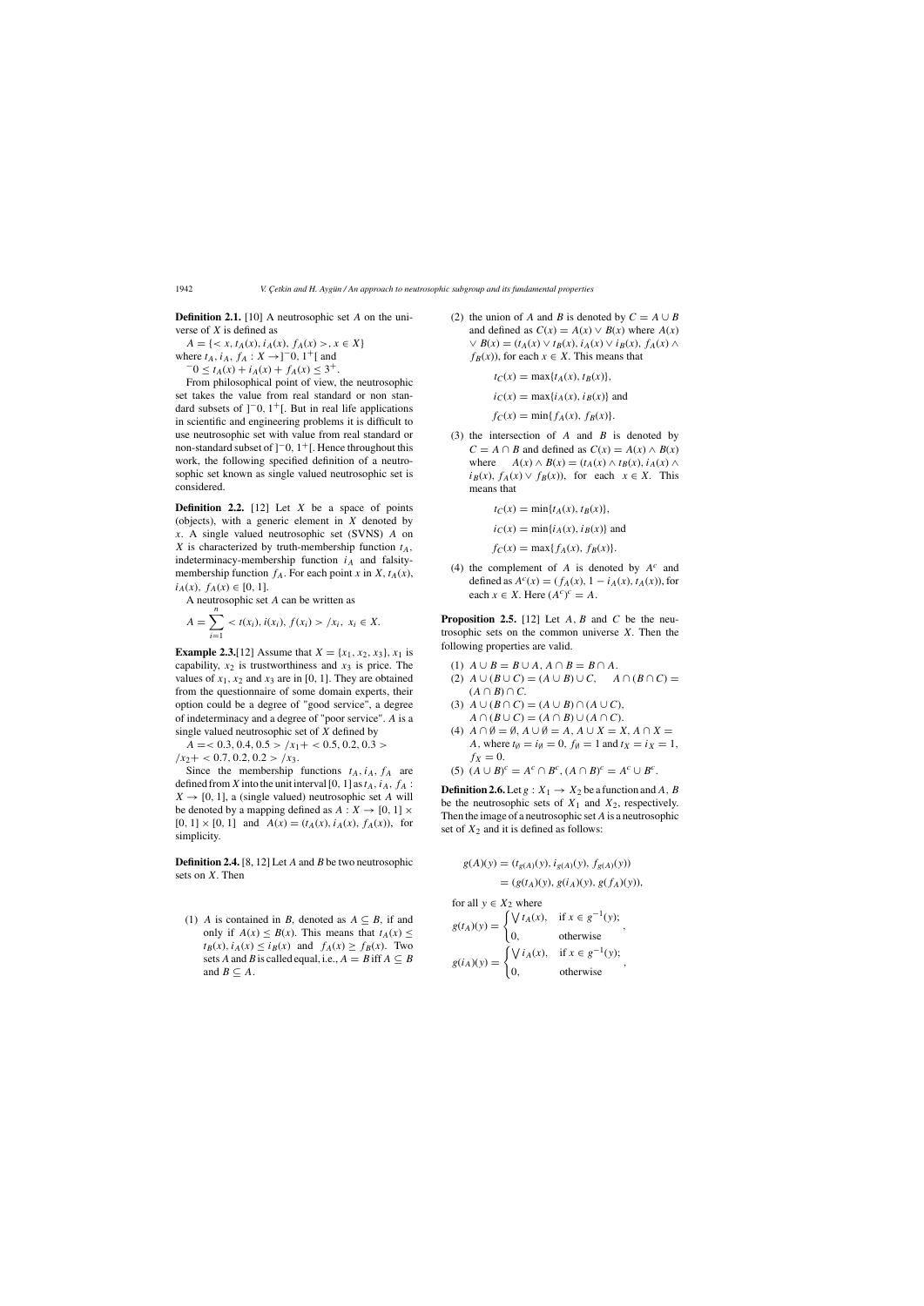1942 *V. Çetkin and H. Aygün / An approach to neutrosophic subgroup and its fundamental properties* 

**Definition 2.1.** [10] A neutrosophic set A on the universe of  $X$  is defined as

 $A = \{ \langle x, t_A(x), i_A(x), f_A(x) \rangle, x \in X \}$ 

where  $t_A$ ,  $i_A$ ,  $f_A : X \to ]-0, 1^+[$  and  $-0 \le t_A(x) + i_A(x) + f_A(x) \le 3^+.$ 

From philosophical point of view, the neutrosophic set takes the value from real standard or non standard subsets of  $]$ <sup>-</sup>0, 1<sup>+</sup>[. But in real life applications in scientific and engineering problems it is difficult to use neutrosophic set with value from real standard or non-standard subset of  $]$ <sup>-</sup>0, 1<sup>+</sup>[. Hence throughout this work, the following specified definition of a neutrosophic set known as single valued neutrosophic set is considered.

**Definition 2.2.** [12] Let *X* be a space of points (objects), with a generic element in  $X$  denoted by x. A single valued neutrosophic set (SVNS) A on X is characterized by truth-membership function  $t_A$ , indeterminacy-membership function  $i_A$  and falsitymembership function  $f_A$ . For each point x in X,  $t_A(x)$ ,  $i_A(x), f_A(x) \in [0, 1].$ 

**Example 2.3.**[12] Assume that  $X = \{x_1, x_2, x_3\}$ ,  $x_1$  is capability,  $x_2$  is trustworthiness and  $x_3$  is price. The values of  $x_1$ ,  $x_2$  and  $x_3$  are in [0, 1]. They are obtained from the questionnaire of some domain experts, their option could be a degree of "good service", a degree of indeterminacy and a degree of "poor service". A is a single valued neutrosophic set of X defined by

 $A = 0.3, 0.4, 0.5 > /x_1 + 0.5, 0.2, 0.3 >$  $/x_2+$  < 0.7, 0.2, 0.2 >  $/x_3$ .

Since the membership functions  $t_A$ ,  $i_A$ ,  $f_A$  are defined from X into the unit interval [0, 1] as  $t_A$ ,  $i_A$ ,  $f_A$ :  $X \rightarrow [0, 1]$ , a (single valued) neutrosophic set A will be denoted by a mapping defined as  $A: X \rightarrow [0, 1] \times$  $[0, 1] \times [0, 1]$  and  $A(x) = (t_A(x), i_A(x), f_A(x))$ , for simplicity.

**Definition 2.4.** [8, 12] Let A and B be two neutrosophic sets on X. Then

(1) A is contained in B, denoted as  $A \subseteq B$ , if and only if  $A(x) \le B(x)$ . This means that  $t_A(x) \le$  $t_B(x)$ ,  $i_A(x) \le i_B(x)$  and  $f_A(x) \ge f_B(x)$ . Two sets A and B is called equal, i.e.,  $A = B$  iff  $A \subseteq B$ and  $B \subseteq A$ .

(2) the union of A and B is denoted by  $C = A \cup B$ and defined as  $C(x) = A(x) \vee B(x)$  where  $A(x)$  $\vee$  B(x) = (t<sub>A</sub>(x)  $\vee$  t<sub>B</sub>(x), i<sub>A</sub>(x)  $\vee$  i<sub>B</sub>(x), f<sub>A</sub>(x)  $\wedge$  $f_B(x)$ , for each  $x \in X$ . This means that

A neutrosophic set A can be written as

$$
A = \sum_{i=1} < t(x_i), \, i(x_i), \, f(x_i) > /x_i, \, x_i \in X.
$$

(3) the intersection of  $A$  and  $B$  is denoted by  $C = A \cap B$  and defined as  $C(x) = A(x) \land B(x)$ where  $A(x) \wedge B(x) = (t_A(x) \wedge t_B(x), i_A(x) \wedge$  $i_B(x)$ ,  $f_A(x) \vee f_B(x)$ , for each  $x \in X$ . This means that

**Proposition 2.5.** [12] Let  $A, B$  and  $C$  be the neutrosophic sets on the common universe  $X$ . Then the following properties are valid.

$$
t_C(x) = \max\{t_A(x), t_B(x)\},\
$$

$$
i_C(x) = \max\{i_A(x), i_B(x)\}
$$
 and

$$
f_C(x) = \min\{f_A(x), f_B(x)\}.
$$

$$
t_C(x) = \min\{t_A(x), t_B(x)\},\
$$

$$
i_C(x) = \min\{i_A(x), i_B(x)\}
$$
 and

$$
f_C(x) = \max\{f_A(x), f_B(x)\}.
$$

(4) the complement of A is denoted by  $A^c$  and defined as  $A^{c}(x) = (f_{A}(x), 1 - i_{A}(x), t_{A}(x))$ , for each  $x \in X$ . Here  $(A^c)^c = A$ .

(1) 
$$
A \cup B = B \cup A, A \cap B = B \cap A
$$
.  
(2)  $A \cup (B \cup C) = (A \cup B) \cup C$ 

- (2)  $A \cup (B \cup C) = (A \cup B) \cup C$ ,  $A \cap (B \cap C) =$ <br>(4  $\cap$  R)  $\cap$  C  $(A \cap B) \cap C$ .
- (3)  $A \cup (B \cap C) = (A \cup B) \cap (A \cup C),$  $A \cap (B \cup C) = (A \cap B) \cup (A \cap C).$
- (4)  $A \cap \emptyset = \emptyset$ ,  $A \cup \emptyset = A$ ,  $A \cup X = X$ ,  $A \cap X = \emptyset$ A, where  $t_{\emptyset} = i_{\emptyset} = 0$ ,  $f_{\emptyset} = 1$  and  $t_X = i_X = 1$ ,  $f_X = 0$ .
- (5)  $(A \cup B)^c = A^c \cap B^c$ ,  $(A \cap B)^c = A^c \cup B^c$ .

**Definition 2.6.** Let  $g: X_1 \rightarrow X_2$  be a function and A, B be the neutrosophic sets of  $X_1$  and  $X_2$ , respectively. Then the image of a neutrosophic set A is a neutrosophic set of  $X_2$  and it is defined as follows:

$$
g(A)(y) = (t_{g(A)}(y), i_{g(A)}(y), f_{g(A)}(y))
$$
  
=  $(g(t_A)(y), g(i_A)(y), g(f_A)(y)),$   
for all  $y \in X_2$  where

$$
g(t_A)(y) = \begin{cases} \bigvee t_A(x), & \text{if } x \in g^{-1}(y); \\ 0, & \text{otherwise} \end{cases},
$$

$$
g(i_A)(y) = \begin{cases} \bigvee t_A(x), & \text{if } x \in g^{-1}(y); \\ 0, & \text{otherwise} \end{cases},
$$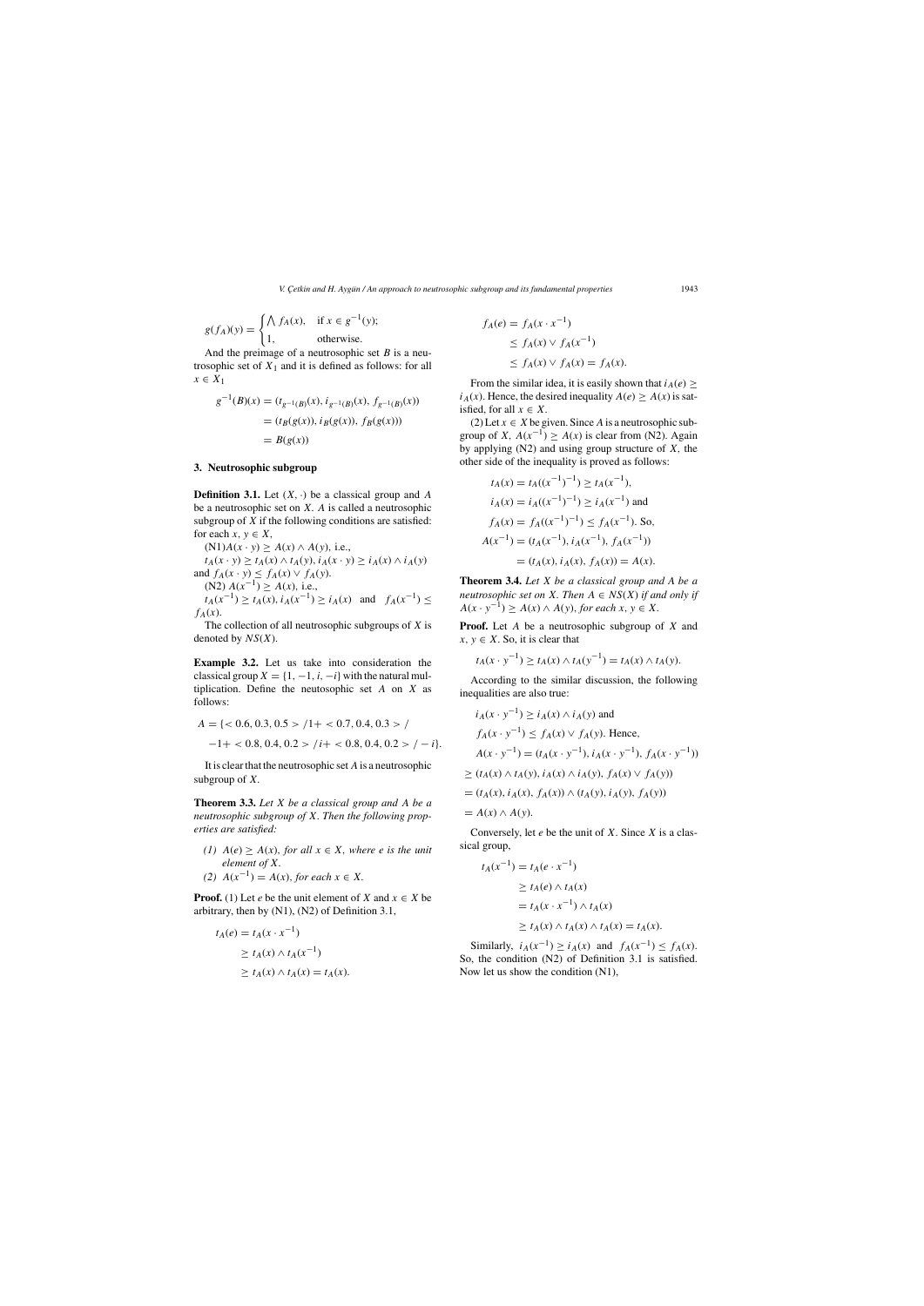*V. C¸ etkin and H. Ayg ¨un / An approach to neutrosophic subgroup and its fundamental properties* 1943

$$
g(f_A)(y) = \begin{cases} \bigwedge f_A(x), & \text{if } x \in g^{-1}(y); \\ 1, & \text{otherwise.} \end{cases}
$$
  
And the preimage of a neutrosonbic set

And the preimage of a neutrosophic set B is a neu-<br>sophic set of  $Y_1$  and it is defined as follows: for all trosophic set of  $X_1$  and it is defined as follows: for all  $x \in X_1$ 

$$
g^{-1}(B)(x) = (t_{g^{-1}(B)}(x), i_{g^{-1}(B)}(x), f_{g^{-1}(B)}(x))
$$
  
=  $(t_B(g(x)), i_B(g(x)), f_B(g(x)))$   
=  $B(g(x))$ 

# **3. Neutrosophic subgroup**

**Definition 3.1.** Let  $(X, \cdot)$  be a classical group and A be a neutrosophic set on  $X$ . A is called a neutrosophic subgroup of  $X$  if the following conditions are satisfied: for each  $x, y \in X$ ,

 $(N1)A(x \cdot y) \ge A(x) \wedge A(y)$ , i.e.,  $t_A(x \cdot y) \ge t_A(x) \wedge t_A(y), i_A(x \cdot y) \ge i_A(x) \wedge i_A(y)$ and  $f_A(x \cdot y) \leq f_A(x) \vee f_A(y)$ .<br>(N2)  $A(x^{-1}) > A(x)$  i.e. (N2)  $A(x^{-1}) \ge A(x)$ , i.e.,<br> $t_1(x^{-1}) \ge t_1(x)$ ,  $t_1(x^{-1})$  $t_A(x^{-1}) \ge t_A(x), i_A(x^{-1}) \ge i_A(x)$  and  $f_A(x^{-1}) \le$ 

It is clear that the neutrosophic set  $A$  is a neutrosophic subgroup of X.

*(1)*  $A(e)$  ≥  $A(x)$ *, for all*  $x \in X$ *, where e is the unit element of* X.

**Proof.** (1) Let *e* be the unit element of *X* and  $x \in X$  be arbitrary, then by (N1), (N2) of Definition 3.1,

$$
\frac{f_A(x)}{\text{The}}
$$

The collection of all neutrosophic subgroups of X is<br>noted by  $NS(Y)$ denoted by  $NS(X)$ .

**Example 3.2.** Let us take into consideration the classical group  $X = \{1, -1, i, -i\}$  with the natural multiplication. Define the neutosophic set A on X as follows:

(2) Let  $x \in X$  be given. Since A is a neutrosophic subgroup of X,  $A(x^{-1}) \ge A(x)$  is clear from (N2). Again by applying  $(N2)$  and using group structure of  $X$ , the other side of the inequality is proved as follows:

$$
A = \{ < 0.6, 0.3, 0.5 > /1 + < 0.7, 0.4, 0.3 > / -1 + < 0.8, 0.4, 0.2 > /i + < 0.8, 0.4, 0.2 > / -i \}.
$$

**Theorem 3.4.** *Let* X *be a classical group and A be a neutrosophic set on* X. Then  $A \in NS(X)$  *if and only if*  $A(x \cdot y^{-1}) \ge A(x) \wedge A(y)$ , *for each*  $x, y \in X$ .

**Proof.** Let A be a neutrosophic subgroup of X and  $x, y \in X$ . So, it is clear that

**Theorem 3.3.** *Let* X *be a classical group and* A *be a neutrosophic subgroup of* X. *Then the following properties are satisfied:*

$$
(2) A(x^{-1}) = A(x), \text{ for each } x \in X.
$$

Conversely, let  $e$  be the unit of  $X$ . Since  $X$  is a classical group,

Similarly,  $i_A(x^{-1}) \ge i_A(x)$  and  $f_A(x^{-1}) \le f_A(x)$ .<br>the condition (N2) of Definition 3.1 is satisfied So, the condition (N2) of Definition 3.1 is satisfied. Now let us show the condition (N1),

$$
t_A(e) = t_A(x \cdot x^{-1})
$$
  
\n
$$
\ge t_A(x) \wedge t_A(x^{-1})
$$
  
\n
$$
\ge t_A(x) \wedge t_A(x) = t_A(x).
$$

$$
f_A(e) = f_A(x \cdot x^{-1})
$$
  
\n
$$
\leq f_A(x) \vee f_A(x^{-1})
$$
  
\n
$$
\leq f_A(x) \vee f_A(x) = f_A(x).
$$

From the similar idea, it is easily shown that  $i_A(e) \geq$  $i_A(x)$ . Hence, the desired inequality  $A(e) \ge A(x)$  is satisfied, for all  $x \in X$ .

$$
t_A(x) = t_A((x^{-1})^{-1}) \ge t_A(x^{-1}),
$$
  
\n
$$
i_A(x) = i_A((x^{-1})^{-1}) \ge i_A(x^{-1})
$$
 and  
\n
$$
f_A(x) = f_A((x^{-1})^{-1}) \le f_A(x^{-1}).
$$
 So,  
\n
$$
A(x^{-1}) = (t_A(x^{-1}), i_A(x^{-1}), f_A(x^{-1}))
$$
  
\n
$$
= (t_A(x), i_A(x), f_A(x)) = A(x).
$$

$$
t_A(x \cdot y^{-1}) \ge t_A(x) \wedge t_A(y^{-1}) = t_A(x) \wedge t_A(y).
$$

According to the similar discussion, the following inequalities are also true:

$$
i_A(x \cdot y^{-1}) \ge i_A(x) \land i_A(y) \text{ and}
$$
  
\n
$$
f_A(x \cdot y^{-1}) \le f_A(x) \lor f_A(y). \text{ Hence,}
$$
  
\n
$$
A(x \cdot y^{-1}) = (t_A(x \cdot y^{-1}), i_A(x \cdot y^{-1}), f_A(x \cdot y^{-1}))
$$
  
\n
$$
\ge (t_A(x) \land t_A(y), i_A(x) \land i_A(y), f_A(x) \lor f_A(y))
$$
  
\n
$$
= (t_A(x), i_A(x), f_A(x)) \land (t_A(y), i_A(y), f_A(y))
$$
  
\n
$$
= A(x) \land A(y).
$$

$$
t_A(x^{-1}) = t_A(e \cdot x^{-1})
$$
  
\n
$$
\ge t_A(e) \wedge t_A(x)
$$
  
\n
$$
= t_A(x \cdot x^{-1}) \wedge t_A(x)
$$
  
\n
$$
\ge t_A(x) \wedge t_A(x) \wedge t_A(x) = t_A(x).
$$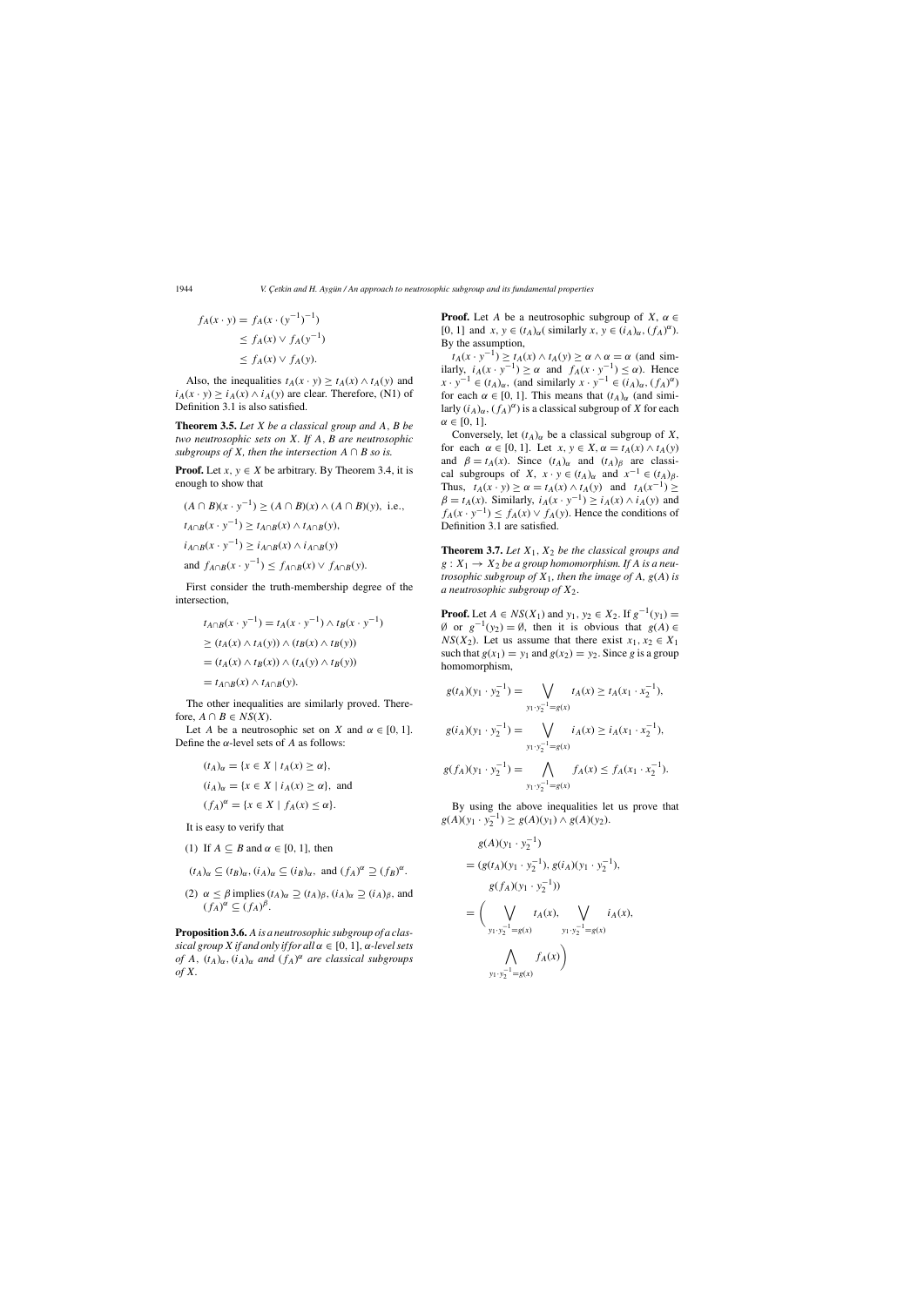1944 *V. Çetkin and H. Aygün / An approach to neutrosophic subgroup and its fundamental properties* 

$$
f_A(x \cdot y) = f_A(x \cdot (y^{-1})^{-1})
$$
  
\n
$$
\leq f_A(x) \vee f_A(y^{-1})
$$
  
\n
$$
\leq f_A(x) \vee f_A(y).
$$

Also, the inequalities  $t_A(x \cdot y) \ge t_A(x) \wedge t_A(y)$  and  $i_A(x \cdot y) \ge i_A(x) \wedge i_A(y)$  are clear. Therefore, (N1) of Definition 3.1 is also satisfied.

**Theorem 3.5.** *Let* X *be a classical group and* A, B *be two neutrosophic sets on* X. *If* A, B *are neutrosophic subgroups of X, then the intersection*  $A \cap B$  *so is.* 

**Proof.** Let  $x, y \in X$  be arbitrary. By Theorem 3.4, it is enough to show that

 $(A \cap B)(x \cdot y^{-1}) \ge (A \cap B)(x) \land (A \cap B)(y)$ , i.e.,  $t_{A\cap B}(x \cdot y^{-1}) \geq t_{A\cap B}(x) \wedge t_{A\cap B}(y),$  $i_{A\cap B}(x \cdot y^{-1}) \geq i_{A\cap B}(x) \wedge i_{A\cap B}(y)$ and  $f_{A\cap B}(x \cdot y^{-1}) \leq f_{A\cap B}(x) \vee f_{A\cap B}(y)$ .

The other inequalities are similarly proved. Therefore,  $A \cap B \in NS(X)$ .

Let A be a neutrosophic set on X and  $\alpha \in [0, 1]$ . Define the  $\alpha$ -level sets of A as follows:

First consider the truth-membership degree of the intersection,

**Proof.** Let A be a neutrosophic subgroup of  $X$ ,  $\alpha \in$ [0, 1] and  $x, y \in (t_A)_{\alpha}$  (similarly  $x, y \in (i_A)_{\alpha}, (f_A)^{\alpha}$ ).<br>By the assumption By the assumption,

 $t_A(x \cdot y^{-1}) \ge t_A(x) \wedge t_A(y) \ge \alpha \wedge \alpha = \alpha$  (and similarly,  $i_A(x \cdot y^{-1}) \ge \alpha$  and  $f_A(x \cdot y^{-1}) \le \alpha$ ). Hence  $x \cdot y^{-1} \in (t_1)$  (and similarly  $x \cdot y^{-1} \in (i_2)$ )  $(f_1)^{\alpha}$  $x \cdot y^{-1} \in (t_A)_{\alpha}$ , (and similarly  $x \cdot y^{-1} \in (i_A)_{\alpha}$ ,  $(f_A)^{\alpha}$ )<br>for each  $\alpha \in [0, 1]$ . This means that  $(t_A)$ , (and simifor each  $\alpha \in [0, 1]$ . This means that  $(t_A)_{\alpha}$  (and similarly  $(i_A)_{\alpha}$ ,  $(f_A)^{\alpha}$ ) is a classical subgroup of X for each  $\alpha \in [0, 1]$  $\alpha \in [0, 1].$ 

$$
t_{A \cap B}(x \cdot y^{-1}) = t_A(x \cdot y^{-1}) \wedge t_B(x \cdot y^{-1})
$$
  
\n
$$
\ge (t_A(x) \wedge t_A(y)) \wedge (t_B(x) \wedge t_B(y))
$$
  
\n
$$
= (t_A(x) \wedge t_B(x)) \wedge (t_A(y) \wedge t_B(y))
$$
  
\n
$$
= t_{A \cap B}(x) \wedge t_{A \cap B}(y).
$$

$$
(t_A)_{\alpha} = \{x \in X \mid t_A(x) \ge \alpha\},
$$
  
\n
$$
(i_A)_{\alpha} = \{x \in X \mid i_A(x) \ge \alpha\}, \text{ and}
$$
  
\n
$$
(f_A)^{\alpha} = \{x \in X \mid f_A(x) \le \alpha\}.
$$

Conversely, let  $(t_A)_{\alpha}$  be a classical subgroup of X, for each  $\alpha \in [0, 1]$ . Let  $x, y \in X$ ,  $\alpha = t_A(x) \wedge t_A(y)$ and  $\beta = t_A(x)$ . Since  $(t_A)_{\alpha}$  and  $(t_A)_{\beta}$  are classical subgroups of X,  $x \cdot y \in (t_A)_{\alpha}$  and  $x^{-1} \in (t_A)_{\beta}$ . Thus,  $t_A(x \cdot y) \ge \alpha = t_A(x) \wedge t_A(y)$  and  $t_A(x^{-1}) \ge$  $\beta = t_A(x)$ . Similarly,  $i_A(x \cdot y^{-1}) \ge i_A(x) \wedge i_A(y)$  and  $f_A(x \cdot y^{-1}) \le f_A(x) \vee f_A(y)$ . Hence the conditions of Definition 3.1 are satisfied.

It is easy to verify that

(1) If  $A \subseteq B$  and  $\alpha \in [0, 1]$ , then

$$
(t_A)_{\alpha} \subseteq (t_B)_{\alpha}, (i_A)_{\alpha} \subseteq (i_B)_{\alpha}, \text{ and } (f_A)^{\alpha} \supseteq (f_B)^{\alpha}.
$$

(2)  $\alpha \leq \beta$  implies  $(t_A)_{\alpha} \supseteq (t_A)_{\beta}$ ,  $(i_A)_{\alpha} \supseteq (i_A)_{\beta}$ , and  $(f_A)^{\alpha} \subseteq (f_A)^{\beta}.$ 

**Theorem 3.7.** *Let*  $X_1$ ,  $X_2$  *be the classical groups and*  $g: X_1 \rightarrow X_2$  *be a group homomorphism. If A is a neutrosophic subgroup of*  $X_1$ *, then the image of*  $A$ *, g*( $A$ ) *is a neutrosophic subgroup of* <sup>X</sup>2.

**Proof.** Let  $A \in NS(X_1)$  and  $y_1, y_2 \in X_2$ . If  $g^{-1}(y_1) =$ Ø or  $g^{-1}(y_2) = \emptyset$ , then it is obvious that  $g(A) \in$  $NS(X_2)$ . Let us assume that there exist  $x_1, x_2 \in X_1$ such that  $g(x_1) = y_1$  and  $g(x_2) = y_2$ . Since g is a group homomorphism,

**Proposition 3.6.**A*is a neutrosophic subgroup of a classical group X if and only if for all*  $\alpha \in [0, 1]$ ,  $\alpha$ -level sets *of* A, (tA)α, (iA)α *and* (fA) <sup>α</sup> *are classical subgroups of* X.

By using the above inequalities let us prove that  $g(A)(y_1 \cdot y_2^{-1}) \ge g(A)(y_1) \wedge g(A)(y_2).$ 

$$
g(t_A)(y_1 \cdot y_2^{-1}) = \bigvee_{y_1 \cdot y_2^{-1} = g(x)} t_A(x) \ge t_A(x_1 \cdot x_2^{-1}),
$$

$$
g(i_A)(y_1 \cdot y_2^{-1}) = \bigvee_{y_1 \cdot y_2^{-1} = g(x)} i_A(x) \ge i_A(x_1 \cdot x_2^{-1}),
$$

$$
g(f_A)(y_1 \cdot y_2^{-1}) = \bigwedge_{y_1 \cdot y_2^{-1} = g(x)} f_A(x) \le f_A(x_1 \cdot x_2^{-1}).
$$

$$
g(A)(y_1 \cdot y_2^{-1})
$$
  
=  $(g(t_A)(y_1 \cdot y_2^{-1}), g(i_A)(y_1 \cdot y_2^{-1}), g(f_A)(y_1 \cdot y_2^{-1}))$   
=  $\left(\bigvee_{y_1 \cdot y_2^{-1} = g(x)} t_A(x), \bigvee_{y_1 \cdot y_2^{-1} = g(x)} i_A(x), g(f_A(x))\right)$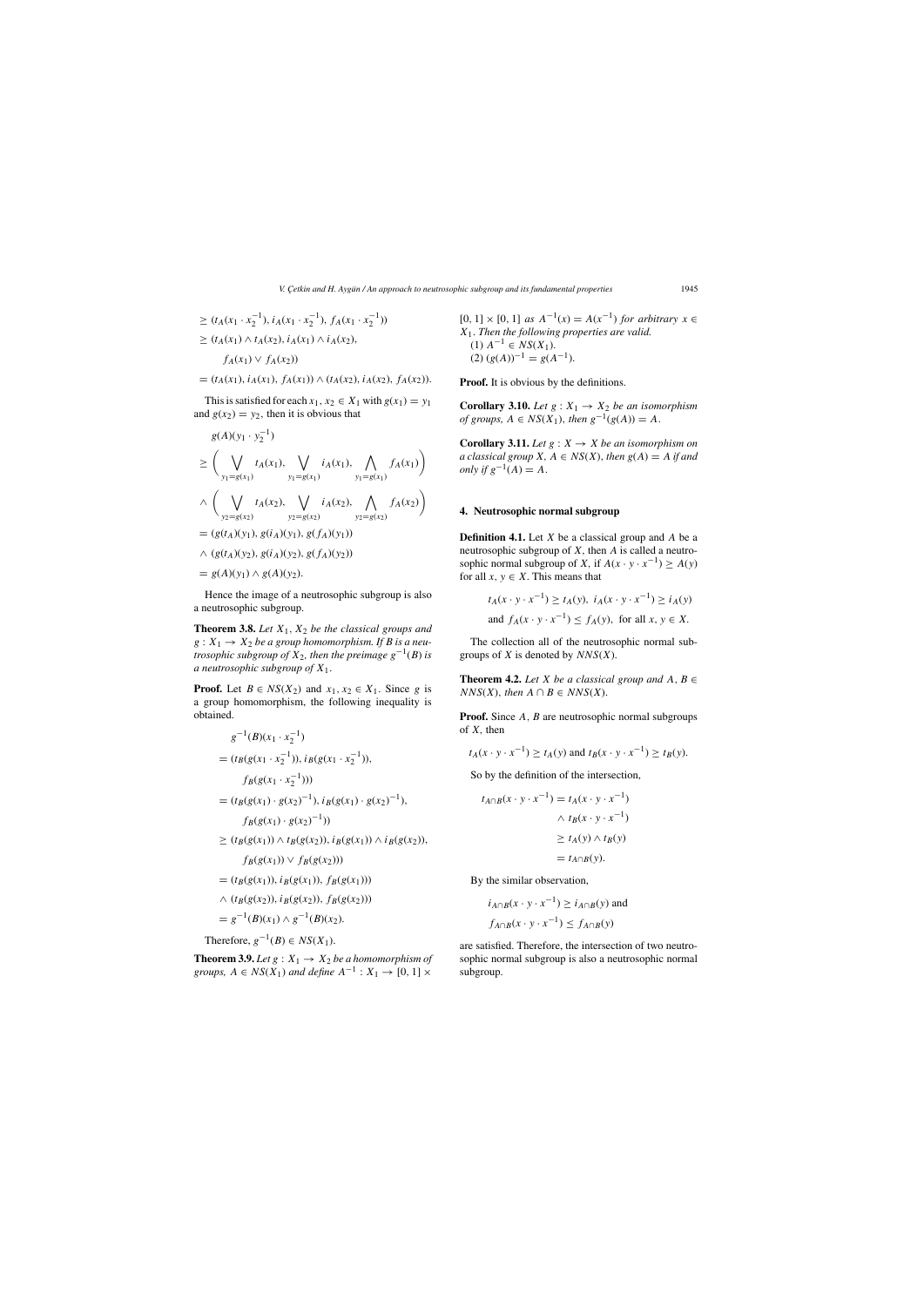# *V. C¸ etkin and H. Ayg ¨un / An approach to neutrosophic subgroup and its fundamental properties* 1945

$$
\geq (t_A(x_1 \cdot x_2^{-1}), i_A(x_1 \cdot x_2^{-1}), f_A(x_1 \cdot x_2^{-1}))
$$
  
 
$$
\geq (t_A(x_1) \wedge t_A(x_2), i_A(x_1) \wedge i_A(x_2), f_A(x_1) \vee f_A(x_2))
$$

 $=(t_A(x_1), i_A(x_1), f_A(x_1)) \wedge (t_A(x_2), i_A(x_2), f_A(x_2)).$ 

This is satisfied for each  $x_1, x_2 \in X_1$  with  $g(x_1) = y_1$ and  $g(x_2) = y_2$ , then it is obvious that

**Theorem 3.8.** Let  $X_1$ ,  $X_2$  be the classical groups and  $g: X_1 \rightarrow X_2$  *be a group homomorphism. If B is a neutrosophic subgroup of*  $X_2$ *, then the preimage*  $g^{-1}(B)$  *is a neutrosophic subgroup of* X1.

$$
g(A)(y_1 \cdot y_2^{-1})
$$
  
\n
$$
\geq \left(\bigvee_{y_1=g(x_1)} t_A(x_1), \bigvee_{y_1=g(x_1)} i_A(x_1), \bigwedge_{y_1=g(x_1)} f_A(x_1) \right)
$$
  
\n
$$
\wedge \left(\bigvee_{y_2=g(x_2)} t_A(x_2), \bigvee_{y_2=g(x_2)} i_A(x_2), \bigwedge_{y_2=g(x_2)} f_A(x_2) \right)
$$
  
\n
$$
= (g(t_A)(y_1), g(i_A)(y_1), g(f_A)(y_1))
$$
  
\n
$$
\wedge (g(t_A)(y_2), g(i_A)(y_2), g(f_A)(y_2))
$$
  
\n
$$
= g(A)(y_1) \wedge g(A)(y_2).
$$

**Proof.** Let  $B \in NS(X_2)$  and  $x_1, x_2 \in X_1$ . Since g is a group homomorphism, the following inequality is obtained.

Hence the image of a neutrosophic subgroup is also a neutrosophic subgroup.

> The collection all of the neutrosophic normal subgroups of  $X$  is denoted by  $NNS(X)$ .

> **Theorem 4.2.** *Let X be a classical group and*  $A, B \in \mathbb{R}$  $NNS(X)$ , *then*  $A \cap B \in NNS(X)$ .

> **Proof.** Since A, B are neutrosophic normal subgroups of  $X$ , then

$$
g^{-1}(B)(x_1 \cdot x_2^{-1})
$$
  
=  $(t_B(g(x_1 \cdot x_2^{-1})), i_B(g(x_1 \cdot x_2^{-1})),$   
 $f_B(g(x_1 \cdot x_2^{-1})))$   
=  $(t_B(g(x_1) \cdot g(x_2)^{-1}), i_B(g(x_1) \cdot g(x_2)^{-1}),$   
 $f_B(g(x_1) \cdot g(x_2)^{-1}))$   
 $\geq (t_B(g(x_1)) \wedge t_B(g(x_2)), i_B(g(x_1)) \wedge i_B(g(x_2)),$   
 $f_B(g(x_1)) \vee f_B(g(x_2)))$   
=  $(t_B(g(x_1)), i_B(g(x_1)), f_B(g(x_1)))$   
 $\wedge (t_B(g(x_2)), i_B(g(x_2)), f_B(g(x_2)))$ 

$$
= g^{-1}(B)(x_1) \wedge g^{-1}(B)(x_2).
$$
  
Therefore,  $g^{-1}(B) \in NS(X_1)$ .

**Theorem 3.9.** *Let*  $g: X_1 \rightarrow X_2$  *be a homomorphism of groups,*  $A \in NS(X_1)$  *and define*  $A^{-1}: X_1 \rightarrow [0, 1] \times$ 

[0, 1] × [0, 1] *as*  $A^{-1}(x) = A(x^{-1})$  *for arbitrary*  $x \in$ <sup>X</sup>1. *Then the following properties are valid.* (1)  $A^{-1} \in NS(X_1)$ .  $(2) (g(A))^{-1} = g(A^{-1}).$ 

**Proof.** It is obvious by the definitions.

**Corollary 3.10.** *Let*  $g: X_1 \rightarrow X_2$  *be an isomorphism of groups,*  $A \in NS(X_1)$ , *then*  $g^{-1}(g(A)) = A$ .

**Corollary 3.11.** *Let*  $g: X \rightarrow X$  *be an isomorphism on a classical group*  $X, A \in NS(X)$ *, then*  $g(A) = A$  *if and only if*  $g^{-1}(A) = A$ .

# **4. Neutrosophic normal subgroup**

**Definition 4.1.** Let  $X$  be a classical group and  $A$  be a neutrosophic subgroup of  $X$ , then  $A$  is called a neutrosophic normal subgroup of X, if  $A(x \cdot y \cdot x^{-1}) \ge A(y)$ for all  $x, y \in X$ . This means that

$$
t_A(x \cdot y \cdot x^{-1}) \ge t_A(y), \ i_A(x \cdot y \cdot x^{-1}) \ge t_A(y)
$$
  
and  $f_A(x \cdot y \cdot x^{-1}) \le f_A(y)$ , for all  $x, y \in X$ .

$$
t_A(x \cdot y \cdot x^{-1}) \ge t_A(y)
$$
 and  $t_B(x \cdot y \cdot x^{-1}) \ge t_B(y)$ .

So by the definition of the intersection,

$$
t_{A \cap B}(x \cdot y \cdot x^{-1}) = t_A(x \cdot y \cdot x^{-1})
$$
  
 
$$
\wedge t_B(x \cdot y \cdot x^{-1})
$$
  
 
$$
\geq t_A(y) \wedge t_B(y)
$$
  
 
$$
= t_{A \cap B}(y).
$$

By the similar observation,

$$
i_{A \cap B}(x \cdot y \cdot x^{-1}) \ge i_{A \cap B}(y)
$$
 and  

$$
f_{A \cap B}(x \cdot y \cdot x^{-1}) \le f_{A \cap B}(y)
$$

are satisfied. Therefore, the intersection of two neutrosophic normal subgroup is also a neutrosophic normal subgroup.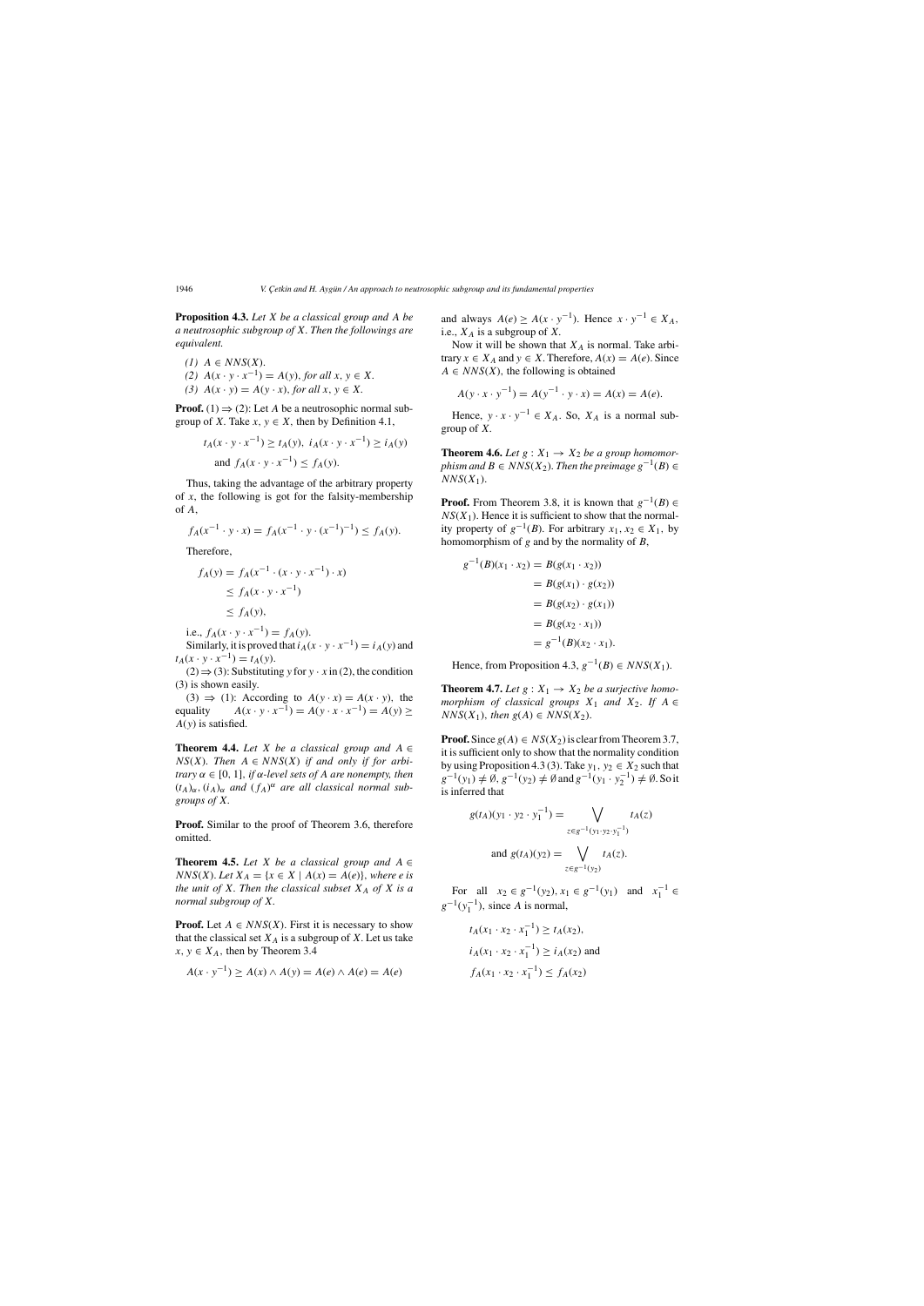1946 *V. Çetkin and H. Aygün / An approach to neutrosophic subgroup and its fundamental properties* 

**Proposition 4.3.** *Let* X *be a classical group and* A *be a neutrosophic subgroup of* X. *Then the followings are equivalent.*

 $(1)$   $A \in NNS(X)$ . *(2)*  $A(x \cdot y \cdot x^{-1}) = A(y)$ , *for all*  $x, y \in X$ .<br> *(3)*  $A(x, y) = A(y, x)$  *for all*  $x, y \in Y$ (3)  $A(x \cdot y) = A(y \cdot x)$ , *for all*  $x, y \in X$ .

**Proof.** (1)  $\Rightarrow$  (2): Let A be a neutrosophic normal subgroup of X. Take  $x, y \in X$ , then by Definition 4.1,

$$
t_A(x \cdot y \cdot x^{-1}) \ge t_A(y), \ i_A(x \cdot y \cdot x^{-1}) \ge t_A(y)
$$
  
and  $f_A(x \cdot y \cdot x^{-1}) \le f_A(y)$ .

 $(2) \Rightarrow (3)$ : Substituting y for y · x in (2), the condition (3) is shown easily.

(3)  $\Rightarrow$  (1): According to  $A(y \cdot x) = A(x \cdot y)$ , the equality  $A(x \cdot y \cdot x^{-1}) = A(y \cdot x \cdot x^{-1}) = A(y) \ge$  $A(x \cdot y \cdot x^{-1}) = A(y \cdot x \cdot x^{-1}) = A(y) \ge$  $A(y)$  is satisfied.

Thus, taking the advantage of the arbitrary property of  $x$ , the following is got for the falsity-membership of A,

**Theorem 4.4.** *Let X be a classical group and*  $A \in$  $NS(X)$ . Then  $A \in NNS(X)$  if and only if for arbi*trary*  $\alpha \in [0, 1]$ *, if*  $\alpha$ *-level sets of* A *are nonempty, then*  $(t_A)_{\alpha}$ ,  $(i_A)_{\alpha}$  and  $(f_A)^{\alpha}$  are all classical normal sub-<br>arouns of X *groups of* X.

$$
f_A(x^{-1} \cdot y \cdot x) = f_A(x^{-1} \cdot y \cdot (x^{-1})^{-1}) \le f_A(y).
$$

Therefore,

$$
f_A(y) = f_A(x^{-1} \cdot (x \cdot y \cdot x^{-1}) \cdot x)
$$
  
\n
$$
\leq f_A(x \cdot y \cdot x^{-1})
$$
  
\n
$$
\leq f_A(y),
$$

i.e.,  $f_A(x \cdot y \cdot x^{-1}) = f_A(y)$ . Similarly, it is proved that  $i_A(x \cdot y \cdot x^{-1}) = i_A(y)$  and  $t_A(x \cdot y \cdot x^{-1}) = t_A(y).$ 

**Theorem 4.5.** *Let X be a classical group and*  $A \in$  $NNS(X)$ . Let  $X_A = \{x \in X \mid A(x) = A(e)\}\$ , where *e* is *the unit of X. Then the classical subset*  $X_A$  *of*  $X$  *is a normal subgroup of* X.

**Proof.** Let  $A \in NNS(X)$ . First it is necessary to show that the classical set  $X_A$  is a subgroup of X. Let us take  $x, y \in X_A$ , then by Theorem 3.4

Hence,  $y \cdot x \cdot y^{-1} \in X_A$ . So,  $X_A$  is a normal subgroup of X.

**Theorem 4.6.** *Let*  $g: X_1 \rightarrow X_2$  *be a group homomorphism and*  $B \in NNS(X_2)$ . *Then the preimage*  $g^{-1}(B) \in$  $NNS(X_1)$ .

**Proof.** From Theorem 3.8, it is known that  $g^{-1}(B) \in$  $NS(X_1)$ . Hence it is sufficient to show that the normality property of  $g^{-1}(B)$ . For arbitrary  $x_1, x_2 \in X_1$ , by homomorphism of g and by the normality of B,<br>  $g^{-1}(B)(x_1 \cdot x_2) = B(g(x_1 \cdot x_2))$ 

**Proof.** Similar to the proof of Theorem 3.6, therefore omitted.

**Proof.** Since  $g(A) \in NS(X_2)$  is clear from Theorem 3.7, it is sufficient only to show that the normality condition by using Proposition 4.3 (3). Take  $y_1, y_2 \in X_2$  such that  $g^{-1}(y_1) \neq \emptyset$ ,  $g^{-1}(y_2) \neq \emptyset$  and  $g^{-1}(y_1 \cdot y_2^{-1}) \neq \emptyset$ . So it is inferred that is inferred that

$$
A(x \cdot y^{-1}) \ge A(x) \wedge A(y) = A(e) \wedge A(e) = A(e)
$$

and always  $A(e) \ge A(x \cdot y^{-1})$ . Hence  $x \cdot y^{-1} \in X_A$ , i.e.,  $X_A$  is a subgroup of X.

Now it will be shown that  $X_A$  is normal. Take arbitrary  $x \in X_A$  and  $y \in X$ . Therefore,  $A(x) = A(e)$ . Since  $A \in NNS(X)$ , the following is obtained

$$
A(y \cdot x \cdot y^{-1}) = A(y^{-1} \cdot y \cdot x) = A(x) = A(e).
$$

$$
g^{-1}(B)(x_1 \cdot x_2) = B(g(x_1 \cdot x_2))
$$
  
=  $B(g(x_1) \cdot g(x_2))$   
=  $B(g(x_2) \cdot g(x_1))$   
=  $B(g(x_2 \cdot x_1))$   
=  $g^{-1}(B)(x_2 \cdot x_1).$ 

Hence, from Proposition 4.3,  $g^{-1}(B) \in NNS(X_1)$ .

**Theorem 4.7.** *Let*  $g: X_1 \rightarrow X_2$  *be a surjective homomorphism of classical groups*  $X_1$  *and*  $X_2$ . If  $A \in$  $NNS(X_1)$ , *then*  $g(A) \in NNS(X_2)$ .

$$
g(t_A)(y_1 \cdot y_2 \cdot y_1^{-1}) = \bigvee_{z \in g^{-1}(y_1 \cdot y_2 \cdot y_1^{-1})} t_A(z)
$$
  
and  $g(t_A)(y_2) = \bigvee_{z \in g^{-1}(y_2)} t_A(z)$ .

For all  $x_2 \in g^{-1}(y_2)$ ,  $x_1 \in g^{-1}(y_1)$  and  $x_1^{-1} \in \mathbb{R}^1$  cinemately also a subsequently  $g^{-1}(y_1^{-1})$ , since A is normal,

$$
t_A(x_1 \cdot x_2 \cdot x_1^{-1}) \ge t_A(x_2),
$$
  
\n
$$
i_A(x_1 \cdot x_2 \cdot x_1^{-1}) \ge i_A(x_2) \text{ and }
$$
  
\n
$$
f_A(x_1 \cdot x_2 \cdot x_1^{-1}) \le f_A(x_2)
$$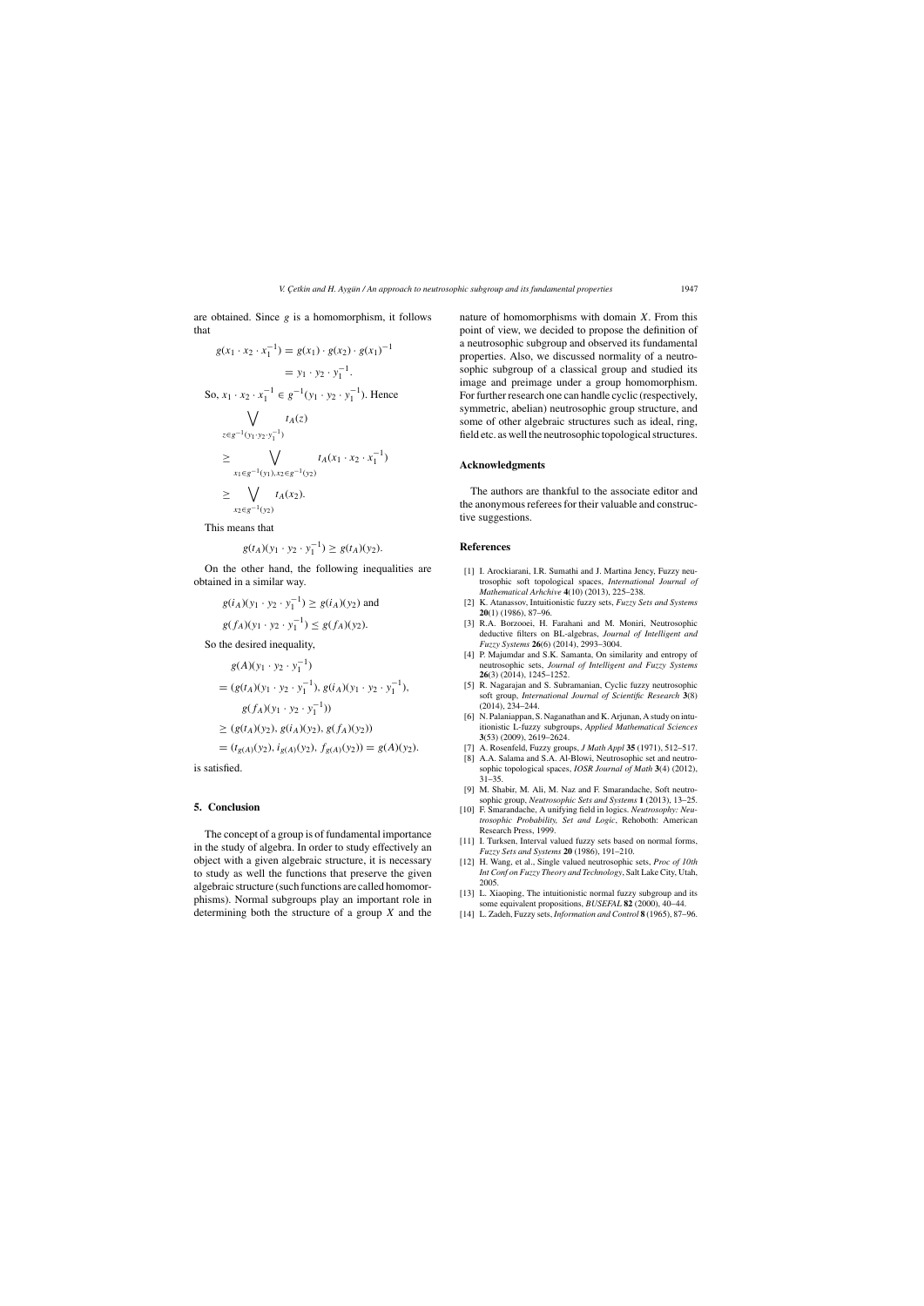*V. C¸ etkin and H. Ayg ¨un / An approach to neutrosophic subgroup and its fundamental properties* 1947

are obtained. Since  $g$  is a homomorphism, it follows that

$$
g(x_1 \cdot x_2 \cdot x_1^{-1}) = g(x_1) \cdot g(x_2) \cdot g(x_1)^{-1}
$$
  
\n
$$
= y_1 \cdot y_2 \cdot y_1^{-1}.
$$
  
\nSo,  $x_1 \cdot x_2 \cdot x_1^{-1} \in g^{-1}(y_1 \cdot y_2 \cdot y_1^{-1})$ . Hence  
\n
$$
\bigvee_{z \in g^{-1}(y_1 \cdot y_2 \cdot y_1^{-1})} t_A(z)
$$
  
\n
$$
\geq \bigvee_{x_1 \in g^{-1}(y_1), x_2 \in g^{-1}(y_2)} t_A(x_1 \cdot x_2 \cdot x_1^{-1})
$$
  
\n
$$
\geq \bigvee_{x_2 \in g^{-1}(y_2)} t_A(x_2).
$$

This means that

The concept of a group is of fundamental importance in the study of algebra. In order to study effectively an object with a given algebraic structure, it is necessary to study as well the functions that preserve the given algebraic structure (such functions are called homomorphisms). Normal subgroups play an important role in determining both the structure of a group  $X$  and the

$$
g(t_A)(y_1 \cdot y_2 \cdot y_1^{-1}) \ge g(t_A)(y_2).
$$

On the other hand, the following inequalities are obtained in a similar way.

$$
g(i_A)(y_1 \cdot y_2 \cdot y_1^{-1}) \ge g(i_A)(y_2)
$$
 and

$$
g(f_A)(y_1 \cdot y_2 \cdot y_1^{-1}) \le g(f_A)(y_2).
$$

So the desired inequality,

$$
g(A)(y_1 \cdot y_2 \cdot y_1^{-1})
$$
  
=  $(g(t_A)(y_1 \cdot y_2 \cdot y_1^{-1}), g(t_A)(y_1 \cdot y_2 \cdot y_1^{-1}), g(f_A)(y_1 \cdot y_2 \cdot y_1^{-1}))$ 

$$
\geq (g(t_A)(y_2), g(i_A)(y_2), g(f_A)(y_2))
$$

$$
= (t_{g(A)}(y_2), i_{g(A)}(y_2), f_{g(A)}(y_2)) = g(A)(y_2).
$$

is satisfied.

## **5. Conclusion**

nature of homomorphisms with domain  $X$ . From this point of view, we decided to propose the definition of a neutrosophic subgroup and observed its fundamental properties. Also, we discussed normality of a neutrosophic subgroup of a classical group and studied its image and preimage under a group homomorphism. For further research one can handle cyclic (respectively, symmetric, abelian) neutrosophic group structure, and some of other algebraic structures such as ideal, ring, field etc. as well the neutrosophic topological structures.

# **Acknowledgments**

The authors are thankful to the associate editor and the anonymous referees for their valuable and constructive suggestions.

## **References**

- [1] I. Arockiarani, I.R. Sumathi and J. Martina Jency, Fuzzy neutrosophic soft topological spaces, *International Journal of Mathematical Arhchive* **4**(10) (2013), 225–238.
- [2] K. Atanassov, Intuitionistic fuzzy sets, *Fuzzy Sets and Systems* **20**(1) (1986), 87–96.
- [3] R.A. Borzooei, H. Farahani and M. Moniri, Neutrosophic deductive filters on BL-algebras, *Journal of Intelligent and Fuzzy Systems* **26**(6) (2014), 2993–3004.
- [4] P. Majumdar and S.K. Samanta, On similarity and entropy of neutrosophic sets, *Journal of Intelligent and Fuzzy Systems* **26**(3) (2014), 1245–1252.
- [5] R. Nagarajan and S. Subramanian, Cyclic fuzzy neutrosophic soft group, *International Journal of Scientific Research* **3**(8) (2014), 234–244.
- [6] N. Palaniappan, S. Naganathan and K. Arjunan, A study on intuitionistic L-fuzzy subgroups, *Applied Mathematical Sciences* **3**(53) (2009), 2619–2624.
- [7] A. Rosenfeld, Fuzzy groups, *J Math Appl* **35** (1971), 512–517.
- [8] A.A. Salama and S.A. Al-Blowi, Neutrosophic set and neutrosophic topological spaces, *IOSR Journal of Math* **3**(4) (2012), 31–35.
- [9] M. Shabir, M. Ali, M. Naz and F. Smarandache, Soft neutrosophic group, *Neutrosophic Sets and Systems* **1** (2013), 13–25.
- [10] F. Smarandache, A unifying field in logics. *Neutrosophy: Neutrosophic Probability, Set and Logic*, Rehoboth: American Research Press, 1999.
- [11] I. Turksen, Interval valued fuzzy sets based on normal forms, *Fuzzy Sets and Systems* **20** (1986), 191–210.
- [12] H. Wang, et al., Single valued neutrosophic sets, *Proc of 10th Int Conf on Fuzzy Theory and Technology*, Salt Lake City, Utah, 2005.
- [13] L. Xiaoping, The intuitionistic normal fuzzy subgroup and its some equivalent propositions, *BUSEFAL* **82** (2000), 40–44.
- [14] L. Zadeh, Fuzzy sets, *Information and Control* **8** (1965), 87–96.